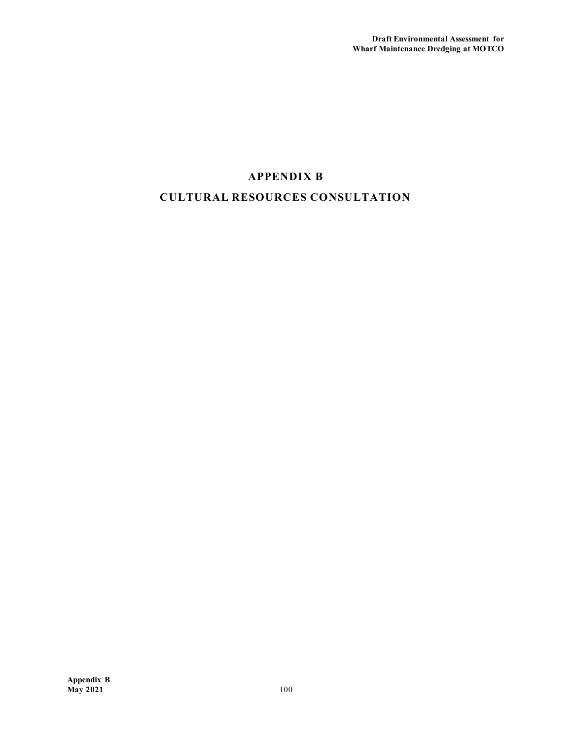## **APPENDIX B CULTURAL RESOURCES CONSULTATION**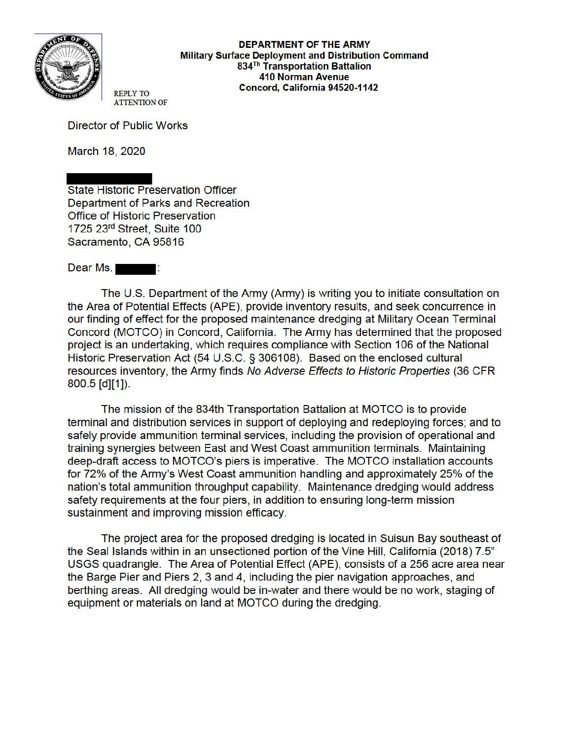

**DEPARTMENT OF THE ARMY** Military Surface Deployment and Distribution Command 834<sup>Th</sup> Transportation Battalion **410 Norman Avenue** Concord, California 94520-1142

**REPLY TO ATTENTION OF** 

**Director of Public Works** 

March 18, 2020

**State Historic Preservation Officer** Department of Parks and Recreation Office of Historic Preservation 1725 23rd Street, Suite 100 Sacramento, CA 95816

Dear Ms. - - - -

The U.S. Department of the Army (Army) is writing you to initiate consultation on the Area of Potential Effects (APE), provide inventory results, and seek concurrence in our finding of effect for the proposed maintenance dredging at Military Ocean Terminal Concord (MOTCO) in Concord, California. The Army has determined that the proposed project is an undertaking, which requires compliance with Section 106 of the National Historic Preservation Act (54 U.S.C. § 306108). Based on the enclosed cultural resources inventory, the Army finds No Adverse Effects to Historic Properties (36 CFR  $800.5$  [d][1]).

The mission of the 834th Transportation Battalion at MOTCO is to provide terminal and distribution services in support of deploying and redeploying forces; and to safely provide ammunition terminal services, including the provision of operational and training synergies between East and West Coast ammunition terminals. Maintaining deep-draft access to MOTCO's piers is imperative. The MOTCO installation accounts for 72% of the Army's West Coast ammunition handling and approximately 25% of the nation's total ammunition throughput capability. Maintenance dredging would address safety requirements at the four piers, in addition to ensuring long-term mission sustainment and improving mission efficacy.

The project area for the proposed dredging is located in Suisun Bay southeast of the Seal Islands within in an unsectioned portion of the Vine Hill, California (2018) 7.5" USGS quadrangle. The Area of Potential Effect (APE), consists of a 256 acre area near the Barge Pier and Piers 2, 3 and 4, including the pier navigation approaches, and berthing areas. All dredging would be in-water and there would be no work, staging of equipment or materials on land at MOTCO during the dredging.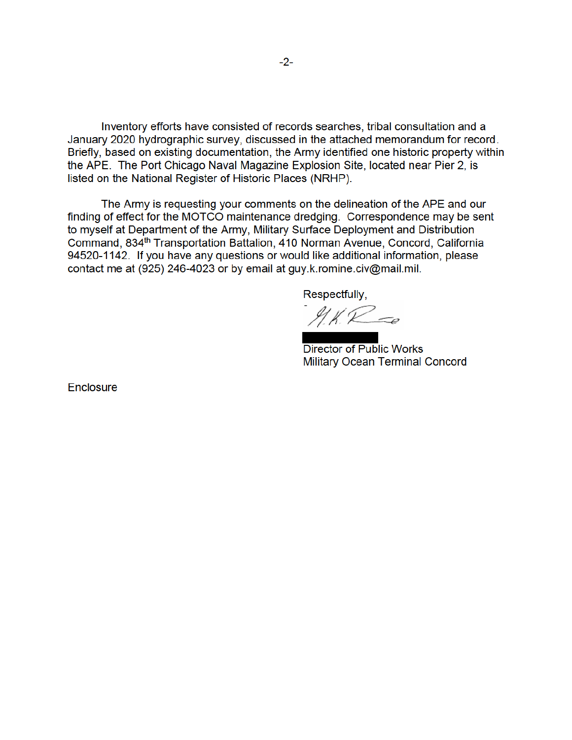Inventory efforts have consisted of records searches, tribal consultation and a January 2020 hydrographic survey, discussed in the attached memorandum for record. Briefly, based on existing documentation, the Army identified one historic property within the APE. The Port Chicago Naval Magazine Explosion Site, located near Pier 2, is listed on the National Register of Historic Places (NRHP).

The Army is requesting your comments on the delineation of the APE and our finding of effect for the MOTCO maintenance dredging. Correspondence may be sent to myself at Department of the Army, Military Surface Deployment and Distribution Command, 834<sup>th</sup> Transportation Battalion, 410 Norman Avenue, Concord, California 94520-1142. If you have any questions or would like additional information, please contact me at (925) 246-4023 or by email at guy.k.romine.civ@mail.mil.

Respectfully,

91 K.R = e

**Director of Public Works Military Ocean Terminal Concord** 

Enclosure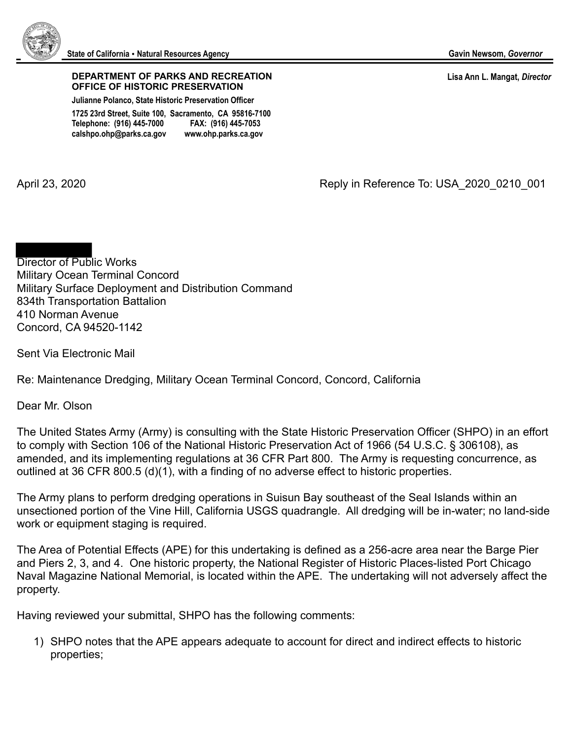

## **DEPARTMENT OF PARKS AND RECREATION OFFICE OF HISTORIC PRESERVATION**

**Julianne Polanco, State Historic Preservation Officer** 

**1725 23rd Street, Suite 100, Sacramento, CA 95816-7100 Telephone: (916) 445-7000 FAX: (916) 445-7053 calshpo.ohp@parks.ca.gov www.ohp.parks.ca.gov**

April 23, 2020 **April 23, 2020** Reply in Reference To: USA\_2020\_0210\_001

Director of Public Works Military Ocean Terminal Concord Military Surface Deployment and Distribution Command 834th Transportation Battalion 410 Norman Avenue Concord, CA 94520-1142

Sent Via Electronic Mail

Re: Maintenance Dredging, Military Ocean Terminal Concord, Concord, California

Dear Mr. Olson

The United States Army (Army) is consulting with the State Historic Preservation Officer (SHPO) in an effort to comply with Section 106 of the National Historic Preservation Act of 1966 (54 U.S.C. § 306108), as amended, and its implementing regulations at 36 CFR Part 800. The Army is requesting concurrence, as outlined at 36 CFR 800.5 (d)(1), with a finding of no adverse effect to historic properties.

The Army plans to perform dredging operations in Suisun Bay southeast of the Seal Islands within an unsectioned portion of the Vine Hill, California USGS quadrangle. All dredging will be in-water; no land-side work or equipment staging is required.

The Area of Potential Effects (APE) for this undertaking is defined as a 256-acre area near the Barge Pier and Piers 2, 3, and 4. One historic property, the National Register of Historic Places-listed Port Chicago Naval Magazine National Memorial, is located within the APE. The undertaking will not adversely affect the property.

Having reviewed your submittal, SHPO has the following comments:

1) SHPO notes that the APE appears adequate to account for direct and indirect effects to historic properties;

 **Lisa Ann L. Mangat,** *Director*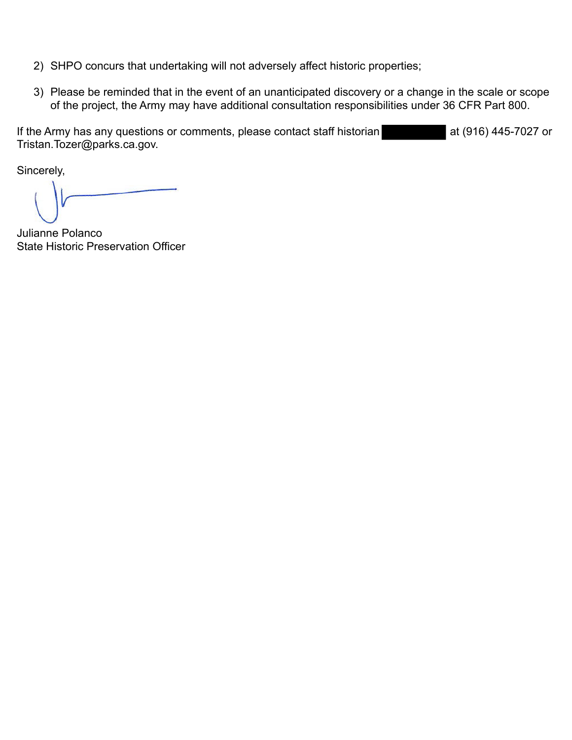- 2) SHPO concurs that undertaking will not adversely affect historic properties;
- 3) Please be reminded that in the event of an unanticipated discovery or a change in the scale or scope of the project, the Army may have additional consultation responsibilities under 36 CFR Part 800.

If the Army has any questions or comments, please contact staff historian at (916) 445-7027 or Tristan.Tozer@parks.ca.gov.

Sincerely,

Julianne Polanco State Historic Preservation Officer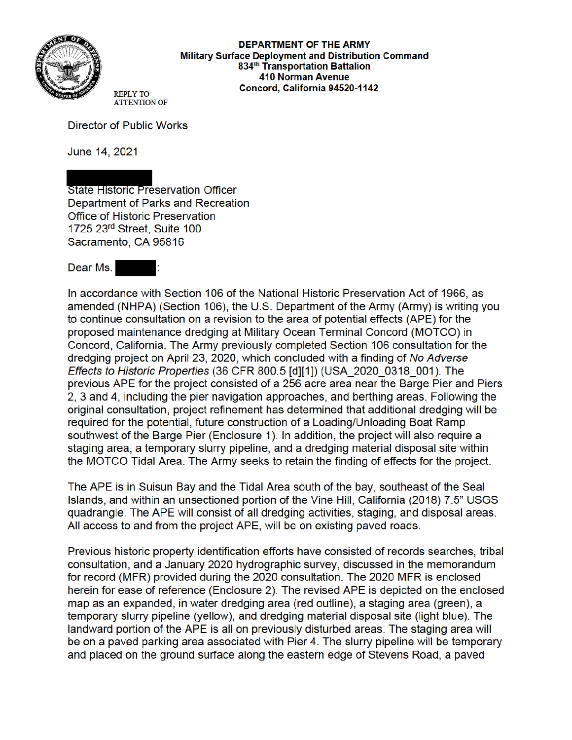

**DEPARTMENT OF THE ARMY Military Surface Deployment and Distribution Command** 834<sup>th</sup> Transportation Battalion **410 Norman Avenue** Concord, California 94520-1142

**REPLY TO ATTENTION OF** 

**Director of Public Works** 

June 14, 2021

**State Historic Preservation Officer** Department of Parks and Recreation **Office of Historic Preservation** 1725 23rd Street, Suite 100 Sacramento, CA 95816

Dear Ms.

In accordance with Section 106 of the National Historic Preservation Act of 1966, as amended (NHPA) (Section 106), the U.S. Department of the Army (Army) is writing you to continue consultation on a revision to the area of potential effects (APE) for the proposed maintenance dredging at Military Ocean Terminal Concord (MOTCO) in Concord, California. The Army previously completed Section 106 consultation for the dredging project on April 23, 2020, which concluded with a finding of No Adverse Effects to Historic Properties (36 CFR 800.5 [d][1]) (USA 2020 0318 001). The previous APE for the project consisted of a 256 acre area near the Barge Pier and Piers 2, 3 and 4, including the pier navigation approaches, and berthing areas. Following the original consultation, project refinement has determined that additional dredging will be required for the potential, future construction of a Loading/Unloading Boat Ramp southwest of the Barge Pier (Enclosure 1). In addition, the project will also require a staging area, a temporary slurry pipeline, and a dredging material disposal site within the MOTCO Tidal Area. The Army seeks to retain the finding of effects for the project.

The APE is in Suisun Bay and the Tidal Area south of the bay, southeast of the Seal Islands, and within an unsectioned portion of the Vine Hill, California (2018) 7.5" USGS guadrangle. The APE will consist of all dredging activities, staging, and disposal areas. All access to and from the project APE, will be on existing payed roads.

Previous historic property identification efforts have consisted of records searches, tribal consultation, and a January 2020 hydrographic survey, discussed in the memorandum for record (MFR) provided during the 2020 consultation. The 2020 MFR is enclosed herein for ease of reference (Enclosure 2). The revised APE is depicted on the enclosed map as an expanded, in water dredging area (red outline), a staging area (green), a temporary slurry pipeline (yellow), and dredging material disposal site (light blue). The landward portion of the APE is all on previously disturbed areas. The staging area will be on a paved parking area associated with Pier 4. The slurry pipeline will be temporary and placed on the ground surface along the eastern edge of Stevens Road, a paved